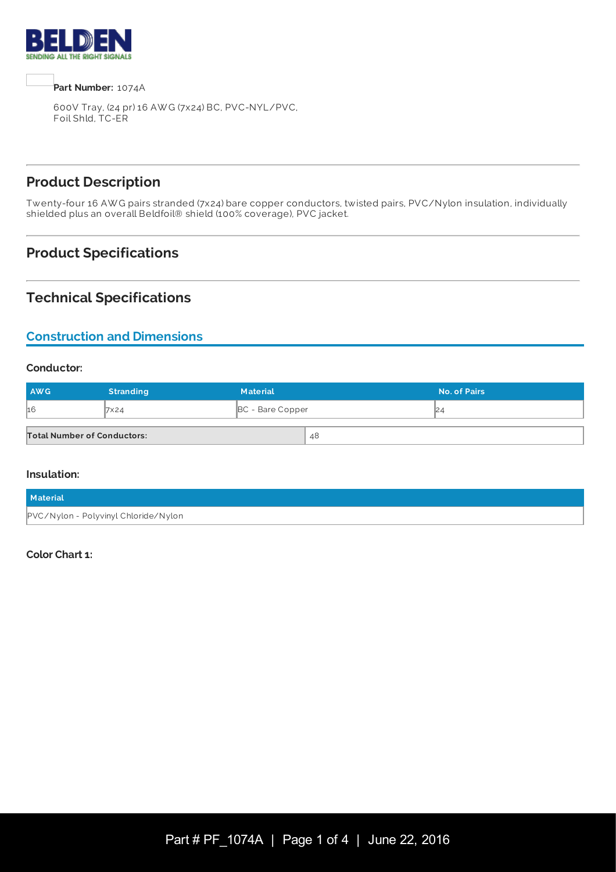

**Part Number:** 1074A

600V Tray, (24 pr) 16 AW G (7x24) BC, PVC-NYL/PVC, Foil Shld, TC-ER

# **Product Description**

Twenty-four 16 AW G pairs stranded (7x24) bare copper conductors, twisted pairs, PVC/Nylon insulation, individually shielded plus an overall Beldfoil® shield (100% coverage), PVC jacket.

# **Product Specifications**

### **Technical Specifications**

### **Construction and Dimensions**

#### **Conductor:**

| AWG                                | <b>Stranding</b> | <b>Material</b>         |    | No. of Pairs |
|------------------------------------|------------------|-------------------------|----|--------------|
| 16                                 | 7×24             | <b>BC</b> - Bare Copper |    |              |
| <b>Total Number of Conductors:</b> |                  |                         | 48 |              |

#### **Insulation:**

| <b>Material</b>                      |  |
|--------------------------------------|--|
| PVC/Nylon - Polyvinyl Chloride/Nylon |  |

#### **Color Chart 1:**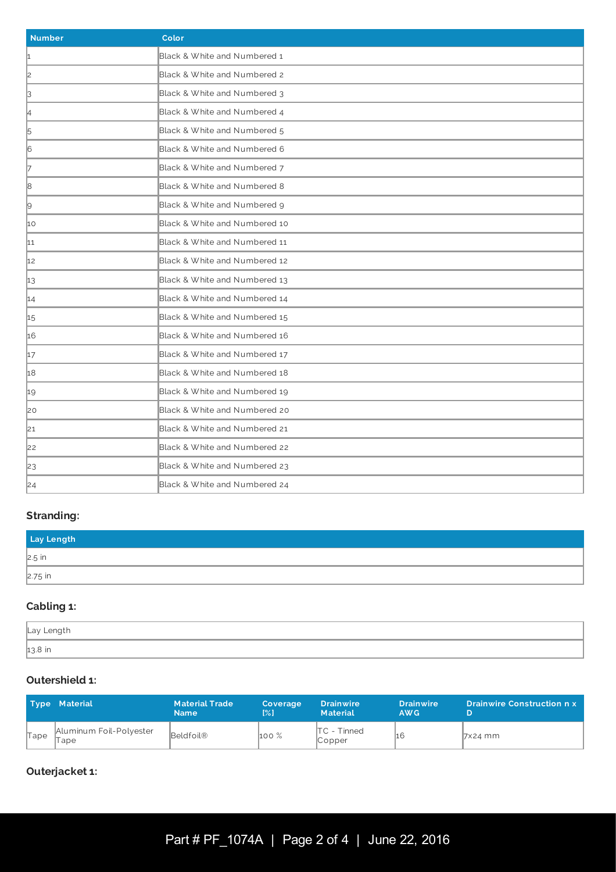| <b>Number</b>  | Color                         |
|----------------|-------------------------------|
| 1              | Black & White and Numbered 1  |
| 2              | Black & White and Numbered 2  |
| β              | Black & White and Numbered 3  |
| 4              | Black & White and Numbered 4  |
| $\overline{5}$ | Black & White and Numbered 5  |
| 6              | Black & White and Numbered 6  |
| 7              | Black & White and Numbered 7  |
| 8              | Black & White and Numbered 8  |
| 9              | Black & White and Numbered 9  |
| 10             | Black & White and Numbered 10 |
| 11             | Black & White and Numbered 11 |
| 12             | Black & White and Numbered 12 |
| 13             | Black & White and Numbered 13 |
| 14             | Black & White and Numbered 14 |
| 15             | Black & White and Numbered 15 |
| 16             | Black & White and Numbered 16 |
| 17             | Black & White and Numbered 17 |
| 18             | Black & White and Numbered 18 |
| 19             | Black & White and Numbered 19 |
| 20             | Black & White and Numbered 20 |
| 21             | Black & White and Numbered 21 |
| 22             | Black & White and Numbered 22 |
| 23             | Black & White and Numbered 23 |
| 24             | Black & White and Numbered 24 |

# **Stranding:**

| Lay Length |  |
|------------|--|
| $2.5$ in   |  |
| $2.75$ in  |  |

### **Cabling 1:**

| Lay Length |  |
|------------|--|
| 13.8 in    |  |

# **Outershield 1:**

|      | <b>Type Material</b>              | <b>Material Trade</b><br><b>Name</b> | Coverage<br>[%] | <b>Drainwire</b><br><b>Material</b>           | <b>Drainwire</b><br>AW <sub>G</sub> | <b>Drainwire Construction n x</b> |
|------|-----------------------------------|--------------------------------------|-----------------|-----------------------------------------------|-------------------------------------|-----------------------------------|
| Tape | Aluminum Foil-Polyester<br>™ape i | Beldfoil®                            | 100 %           | $\mathsf{ITC}$ - Tinned<br>$\mathbb{C}$ opper | 16                                  | $\sqrt{7}$ x24 mm                 |

### **Outerjacket 1:**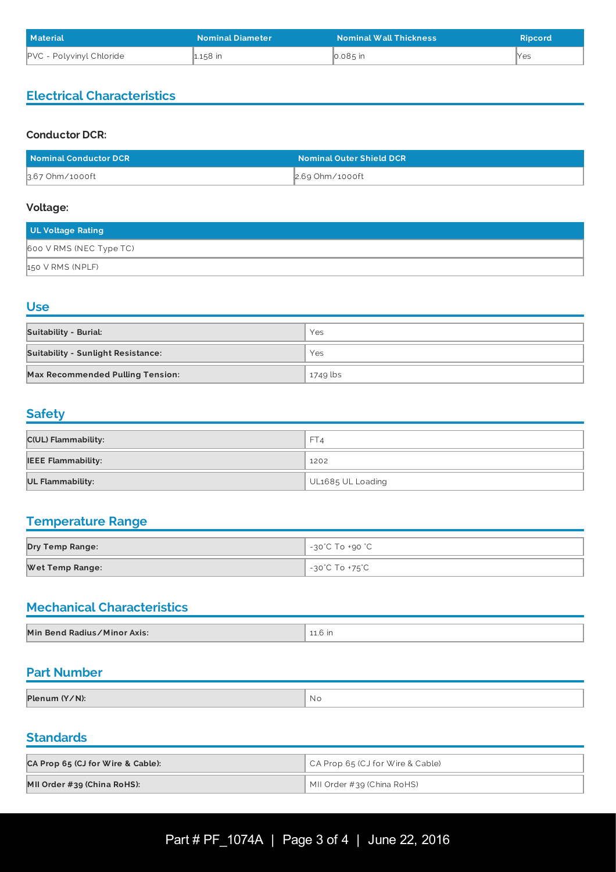| <b>Material</b>          | <b>Nominal Diameter</b> | <b>Nominal Wall Thickness</b> | <b>Ripcord</b> |
|--------------------------|-------------------------|-------------------------------|----------------|
| PVC - Polyvinyl Chloride | µ158 in                 | $\vert$ 0.085 in              | llYes          |

### **Electrical Characteristics**

### **Conductor DCR:**

| Nominal Conductor DCR | <b>Nominal Outer Shield DCR</b> |
|-----------------------|---------------------------------|
| 3.67 Ohm/1000ft       | $\vert$ 2.69 Ohm/1000ft         |

#### **Voltage:**

| <b>UL Voltage Rating</b> |
|--------------------------|
| 600 V RMS (NEC Type TC)  |
| 150 V RMS (NPLF)         |

### **Use**

| <b>Suitability - Burial:</b>              | Yes      |
|-------------------------------------------|----------|
| <b>Suitability - Sunlight Resistance:</b> | Yes      |
| <b>Max Recommended Pulling Tension:</b>   | 1749 lbs |

### **Safety**

| C(UL) Flammability:       | FT4               |
|---------------------------|-------------------|
| <b>IEEE Flammability:</b> | 1202              |
| UL Flammability:          | UL1685 UL Loading |

## **Temperature Range**

| <b>Dry Temp Range:</b> | -30°C To +90 °C |
|------------------------|-----------------|
| <b>Wet Temp Range:</b> | -30°C To +75°C  |

# **Mechanical Characteristics**

| Min Bend Radius/Minor Axis: | 11.6 in |
|-----------------------------|---------|

### **Part Number**

| Plenum (Y/N): | - N.C |
|---------------|-------|

<u> 1980 - Johann Barn, mars ann an t-Amhain an t-Amhain an t-Amhain an t-Amhain an t-Amhain an t-Amhain an t-A</u>

## **Standards**

| CA Prop 65 (CJ for Wire & Cable): | CA Prop 65 (CJ for Wire & Cable)   |
|-----------------------------------|------------------------------------|
| MII Order #39 (China RoHS):       | $\vert$ MII Order #39 (China RoHS) |